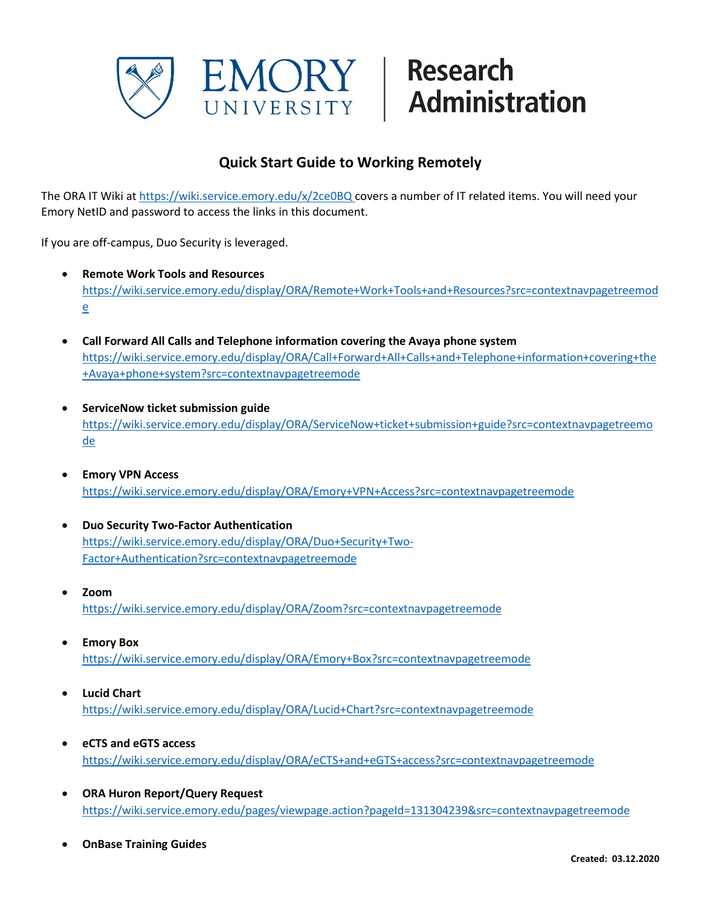

## **Quick Start Guide to Working Remotely**

The ORA IT Wiki at <https://wiki.service.emory.edu/x/2ce0BQ> covers a number of IT related items. You will need your Emory NetID and password to access the links in this document.

If you are off-campus, Duo Security is leveraged.

- **Remote Work Tools and Resources** [https://wiki.service.emory.edu/display/ORA/Remote+Work+Tools+and+Resources?src=contextnavpagetreemod](https://wiki.service.emory.edu/display/ORA/Remote+Work+Tools+and+Resources?src=contextnavpagetreemode) [e](https://wiki.service.emory.edu/display/ORA/Remote+Work+Tools+and+Resources?src=contextnavpagetreemode)
- **Call Forward All Calls and Telephone information covering the Avaya phone system** [https://wiki.service.emory.edu/display/ORA/Call+Forward+All+Calls+and+Telephone+information+covering+the](https://wiki.service.emory.edu/display/ORA/Call+Forward+All+Calls+and+Telephone+information+covering+the+Avaya+phone+system?src=contextnavpagetreemode) [+Avaya+phone+system?src=contextnavpagetreemode](https://wiki.service.emory.edu/display/ORA/Call+Forward+All+Calls+and+Telephone+information+covering+the+Avaya+phone+system?src=contextnavpagetreemode)
- **ServiceNow ticket submission guide** [https://wiki.service.emory.edu/display/ORA/ServiceNow+ticket+submission+guide?src=contextnavpagetreemo](https://wiki.service.emory.edu/display/ORA/ServiceNow+ticket+submission+guide?src=contextnavpagetreemode) [de](https://wiki.service.emory.edu/display/ORA/ServiceNow+ticket+submission+guide?src=contextnavpagetreemode)
- **Emory VPN Access** <https://wiki.service.emory.edu/display/ORA/Emory+VPN+Access?src=contextnavpagetreemode>
- **Duo Security Two-Factor Authentication** [https://wiki.service.emory.edu/display/ORA/Duo+Security+Two-](https://wiki.service.emory.edu/display/ORA/Duo+Security+Two-Factor+Authentication?src=contextnavpagetreemode)[Factor+Authentication?src=contextnavpagetreemode](https://wiki.service.emory.edu/display/ORA/Duo+Security+Two-Factor+Authentication?src=contextnavpagetreemode)
- **Zoom** <https://wiki.service.emory.edu/display/ORA/Zoom?src=contextnavpagetreemode>
- **Emory Box** <https://wiki.service.emory.edu/display/ORA/Emory+Box?src=contextnavpagetreemode>
- **Lucid Chart** <https://wiki.service.emory.edu/display/ORA/Lucid+Chart?src=contextnavpagetreemode>
- **eCTS and eGTS access** <https://wiki.service.emory.edu/display/ORA/eCTS+and+eGTS+access?src=contextnavpagetreemode>
- **ORA Huron Report/Query Request** <https://wiki.service.emory.edu/pages/viewpage.action?pageId=131304239&src=contextnavpagetreemode>
- **OnBase Training Guides**